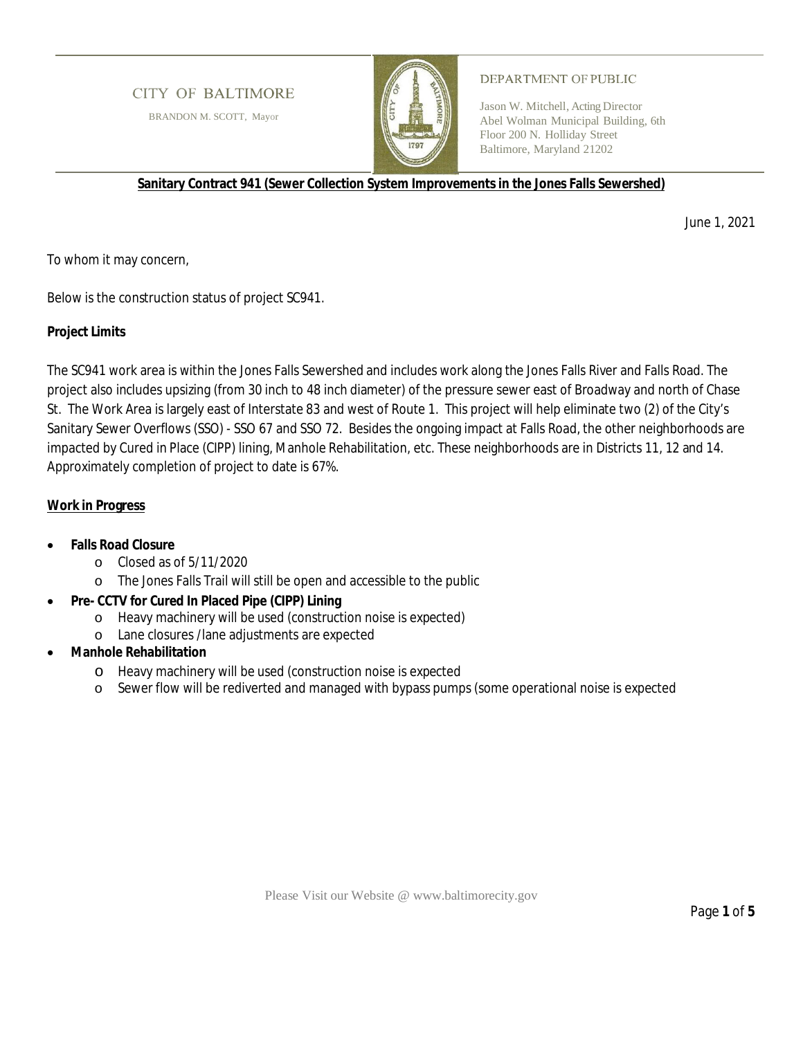# **CITY OF BALTIMORE**

BRANDON M. SCOTT, Mayor



### DEPARTMENT OF PUBLIC

Jason W. Mitchell, Acting Director Abel Wolman Municipal Building, 6th Floor 200 N. Holliday Street Baltimore, Maryland 21202

**Sanitary Contract 941 (Sewer Collection System Improvements in the Jones Falls Sewershed)**

June 1, 2021

To whom it may concern,

Below is the construction status of project SC941.

# **Project Limits**

The SC941 work area is within the Jones Falls Sewershed and includes work along the Jones Falls River and Falls Road. The project also includes upsizing (from 30 inch to 48 inch diameter) of the pressure sewer east of Broadway and north of Chase St. The Work Area is largely east of Interstate 83 and west of Route 1. This project will help eliminate two (2) of the City's Sanitary Sewer Overflows (SSO) - SSO 67 and SSO 72. Besides the ongoing impact at Falls Road, the other neighborhoods are impacted by Cured in Place (CIPP) lining, Manhole Rehabilitation, etc. These neighborhoods are in Districts 11, 12 and 14. Approximately completion of project to date is 67%.

# **Work in Progress**

- **Falls Road Closure**
	- o Closed as of 5/11/2020
	- o The Jones Falls Trail will still be open and accessible to the public
- **Pre- CCTV for Cured In Placed Pipe (CIPP) Lining**
	- o Heavy machinery will be used (construction noise is expected)
	- o Lane closures /lane adjustments are expected
- **Manhole Rehabilitation**
	- o Heavy machinery will be used (construction noise is expected
	- o Sewer flow will be rediverted and managed with bypass pumps (some operational noise is expected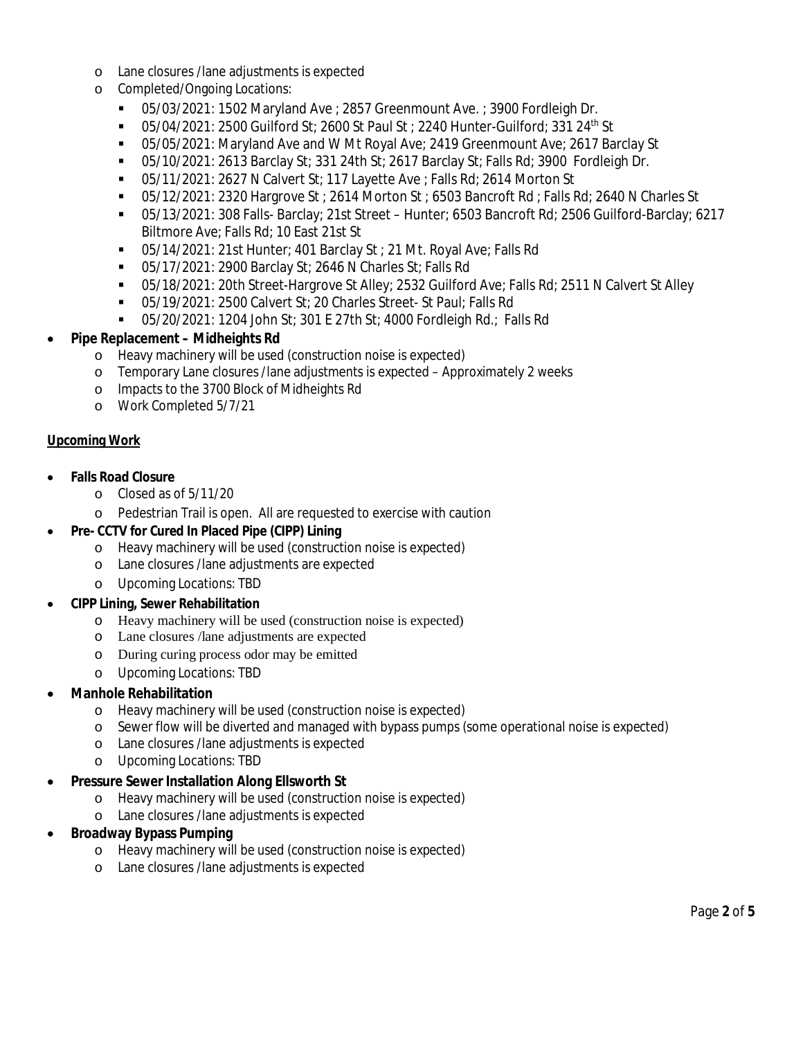- o Lane closures /lane adjustments is expected
- o Completed/Ongoing Locations:
	- 05/03/2021: 1502 Maryland Ave ; 2857 Greenmount Ave. ; 3900 Fordleigh Dr.
	- $\blacksquare$  05/04/2021: 2500 Guilford St; 2600 St Paul St; 2240 Hunter-Guilford; 331 24<sup>th</sup> St
	- 05/05/2021: Maryland Ave and W Mt Royal Ave; 2419 Greenmount Ave; 2617 Barclay St
	- 05/10/2021: 2613 Barclay St; 331 24th St; 2617 Barclay St; Falls Rd; 3900 Fordleigh Dr.
	- 05/11/2021: 2627 N Calvert St; 117 Layette Ave ; Falls Rd; 2614 Morton St
	- 05/12/2021: 2320 Hargrove St ; 2614 Morton St ; 6503 Bancroft Rd ; Falls Rd; 2640 N Charles St
	- 05/13/2021: 308 Falls- Barclay; 21st Street Hunter; 6503 Bancroft Rd; 2506 Guilford-Barclay; 6217 Biltmore Ave; Falls Rd; 10 East 21st St
	- 05/14/2021: 21st Hunter; 401 Barclay St ; 21 Mt. Royal Ave; Falls Rd
	- 05/17/2021: 2900 Barclay St; 2646 N Charles St; Falls Rd
	- 05/18/2021: 20th Street-Hargrove St Alley; 2532 Guilford Ave; Falls Rd; 2511 N Calvert St Alley
	- 05/19/2021: 2500 Calvert St; 20 Charles Street- St Paul; Falls Rd
	- 05/20/2021: 1204 John St; 301 E 27th St; 4000 Fordleigh Rd.; Falls Rd
- **Pipe Replacement Midheights Rd**
	- o Heavy machinery will be used (construction noise is expected)
	- o Temporary Lane closures /lane adjustments is expected Approximately 2 weeks
	- o Impacts to the 3700 Block of Midheights Rd
	- o Work Completed 5/7/21

### **Upcoming Work**

- **Falls Road Closure**
	- o Closed as of 5/11/20
	- o Pedestrian Trail is open. All are requested to exercise with caution
- **Pre- CCTV for Cured In Placed Pipe (CIPP) Lining**
	- o Heavy machinery will be used (construction noise is expected)
	- o Lane closures /lane adjustments are expected
	- o Upcoming Locations: TBD
- **CIPP Lining, Sewer Rehabilitation**
	- o Heavy machinery will be used (construction noise is expected)
	- o Lane closures /lane adjustments are expected
	- o During curing process odor may be emitted
	- o Upcoming Locations: TBD
- **Manhole Rehabilitation**
	- o Heavy machinery will be used (construction noise is expected)
	- o Sewer flow will be diverted and managed with bypass pumps (some operational noise is expected)
	- o Lane closures /lane adjustments is expected
	- o Upcoming Locations: TBD
- **Pressure Sewer Installation Along Ellsworth St**
	- o Heavy machinery will be used (construction noise is expected)
	- o Lane closures /lane adjustments is expected
- **Broadway Bypass Pumping**
	- o Heavy machinery will be used (construction noise is expected)
	- Lane closures /lane adjustments is expected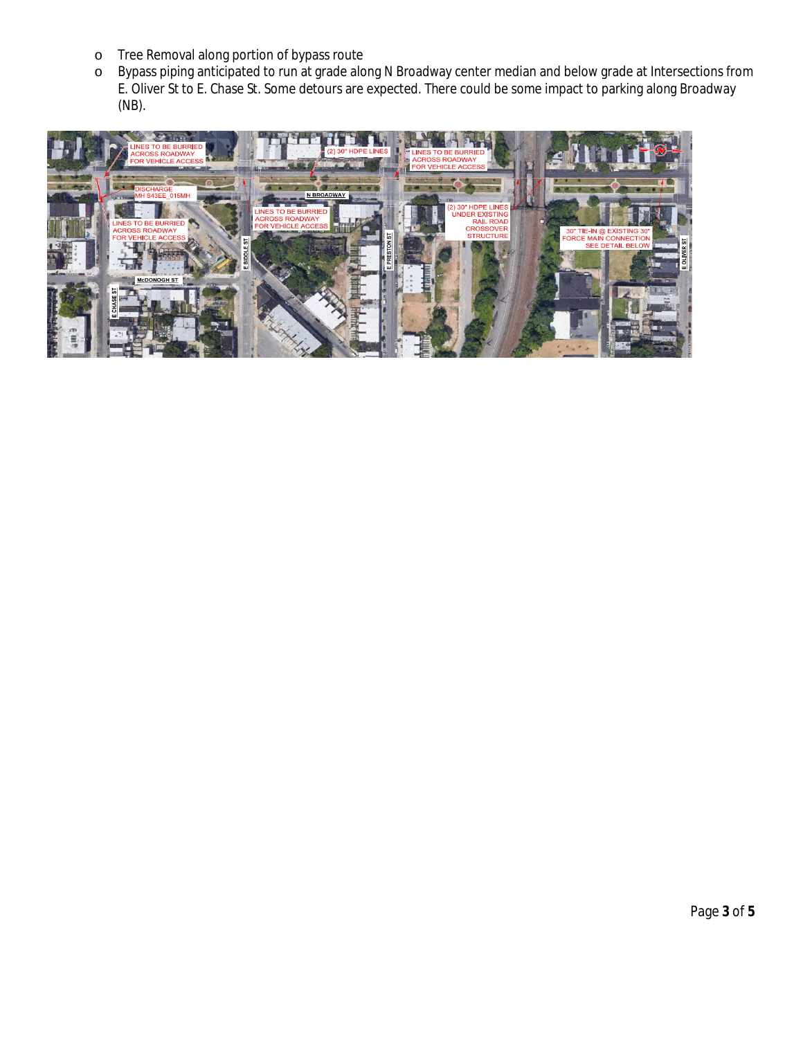- o Tree Removal along portion of bypass route
- o Bypass piping anticipated to run at grade along N Broadway center median and below grade at Intersections from E. Oliver St to E. Chase St. Some detours are expected. There could be some impact to parking along Broadway (NB).

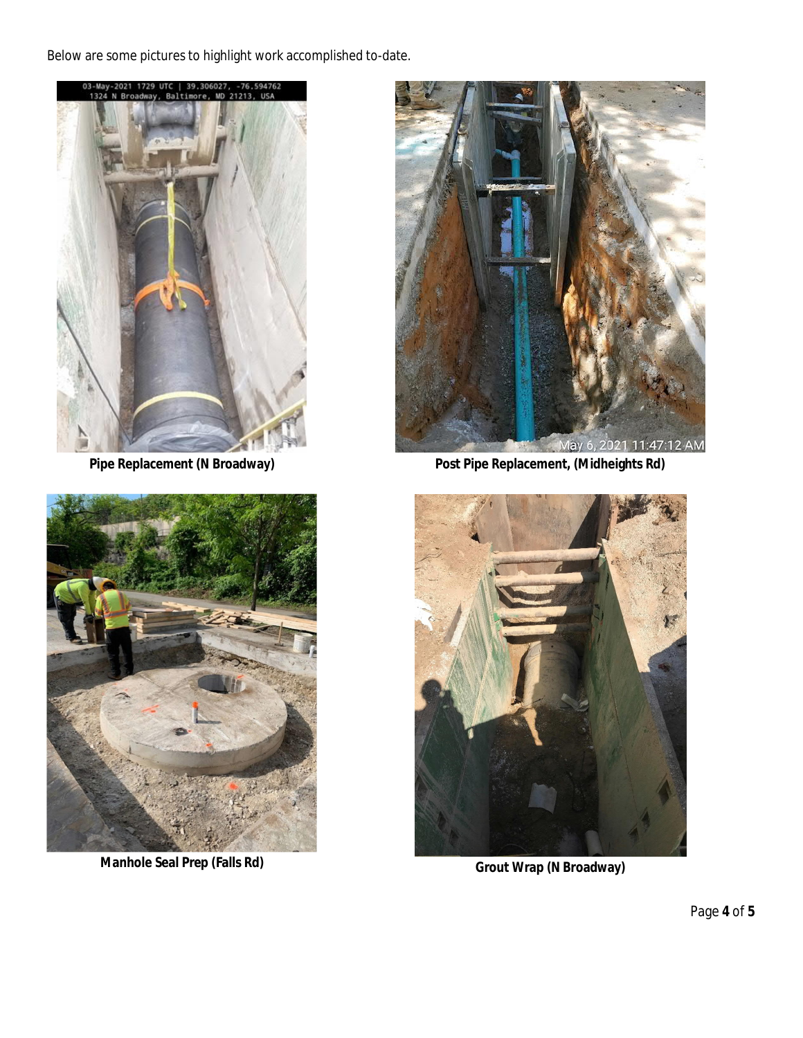Below are some pictures to highlight work accomplished to-date.





**Manhole Seal Prep (Falls Rd) Grout Wrap (N Broadway)** 



**Pipe Replacement (N Broadway) Post Pipe Replacement, (Midheights Rd)**